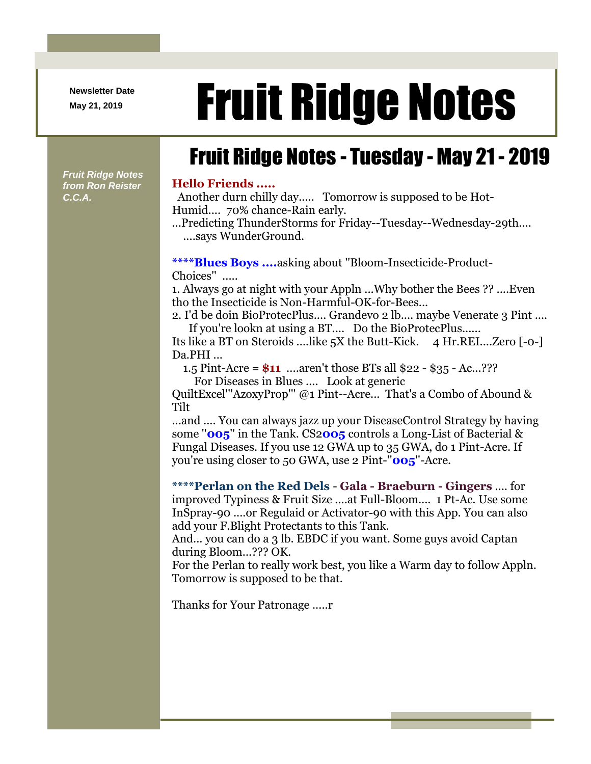**Newsletter Date**

*Fruit Ridge Notes from Ron Reister* 

*C.C.A.*

## Newsletter Date **Fruit Ridge Notes**

## Fruit Ridge Notes - Tuesday - May 21 - 2019

## **Hello Friends .....**

Another durn chilly day..... Tomorrow is supposed to be Hot-Humid.... 70% chance-Rain early.

...Predicting ThunderStorms for Friday--Tuesday--Wednesday-29th.... ....says WunderGround.

**\*\*\*\*Blues Boys ....**asking about ''Bloom-Insecticide-Product-Choices'' .....

1. Always go at night with your Appln ...Why bother the Bees ?? ....Even tho the Insecticide is Non-Harmful-OK-for-Bees...

2. I'd be doin BioProtecPlus.... Grandevo 2 lb.... maybe Venerate 3 Pint .... If you're lookn at using a BT.... Do the BioProtecPlus......

Its like a BT on Steroids ....like 5X the Butt-Kick. 4 Hr.REI....Zero [-0-] Da.PHI ...

1.5 Pint-Acre = **\$11** ....aren't those BTs all \$22 - \$35 - Ac...???

For Diseases in Blues .... Look at generic

QuiltExcel'''AzoxyProp''' @1 Pint--Acre... That's a Combo of Abound & Tilt

...and .... You can always jazz up your DiseaseControl Strategy by having some ''**005**'' in the Tank. CS2**005** controls a Long-List of Bacterial & Fungal Diseases. If you use 12 GWA up to 35 GWA, do 1 Pint-Acre. If you're using closer to 50 GWA, use 2 Pint-''**005**''-Acre.

**\*\*\*\*Perlan on the Red Dels** - **Gala - Braeburn - Gingers** .... for improved Typiness & Fruit Size ....at Full-Bloom.... 1 Pt-Ac. Use some InSpray-90 ....or Regulaid or Activator-90 with this App. You can also add your F.Blight Protectants to this Tank.

And... you can do a 3 lb. EBDC if you want. Some guys avoid Captan during Bloom...??? OK.

For the Perlan to really work best, you like a Warm day to follow Appln. Tomorrow is supposed to be that.

Thanks for Your Patronage .....r